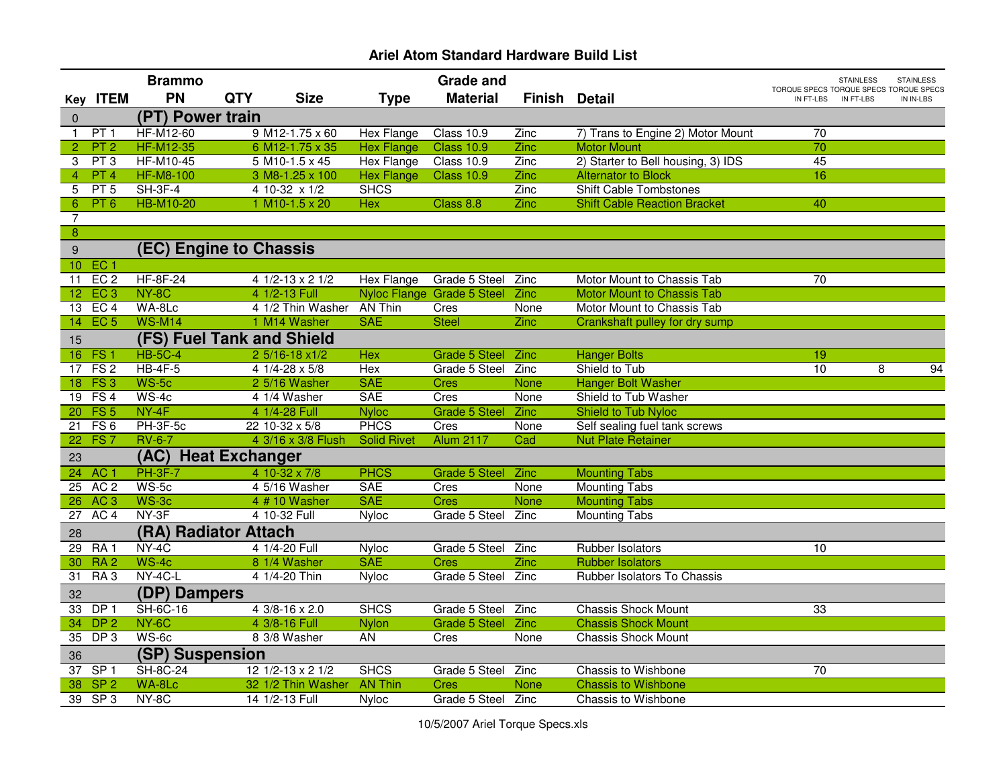|                  |                 | <b>Brammo</b>       |                                |                    |                    | <b>Grade and</b>           |                      |                                     |                                                     | <b>STAINLESS</b> | <b>STAINLESS</b> |
|------------------|-----------------|---------------------|--------------------------------|--------------------|--------------------|----------------------------|----------------------|-------------------------------------|-----------------------------------------------------|------------------|------------------|
|                  | Key ITEM        | <b>PN</b>           | <b>QTY</b>                     | <b>Size</b>        | <b>Type</b>        | <b>Material</b>            | <b>Finish Detail</b> |                                     | TORQUE SPECS TORQUE SPECS TORQUE SPECS<br>IN FT-LBS | IN FT-LBS        | IN IN-LBS        |
| $\pmb{0}$        |                 | (PT) Power train    |                                |                    |                    |                            |                      |                                     |                                                     |                  |                  |
| $\mathbf{1}$     | PT 1            | <b>HF-M12-60</b>    | $9$ M <sub>12</sub> -1.75 x 60 |                    | Hex Flange         | Class 10.9                 | Zinc                 | 7) Trans to Engine 2) Motor Mount   | $\overline{70}$                                     |                  |                  |
| $\overline{2}$   | PT <sub>2</sub> | <b>HF-M12-35</b>    | 6 M12-1.75 x 35                |                    | <b>Hex Flange</b>  | <b>Class 10.9</b>          | Zinc                 | <b>Motor Mount</b>                  | 70                                                  |                  |                  |
| 3                | PT3             | <b>HF-M10-45</b>    | $5$ M <sub>10</sub> -1.5 x 45  |                    | <b>Hex Flange</b>  | Class 10.9                 | Zinc                 | 2) Starter to Bell housing, 3) IDS  | 45                                                  |                  |                  |
| $\overline{4}$   | PT 4            | <b>HF-M8-100</b>    | 3 M8-1.25 x 100                |                    | <b>Hex Flange</b>  | <b>Class 10.9</b>          | Zinc                 | <b>Alternator to Block</b>          | 16                                                  |                  |                  |
| 5                | PT 5            | $SH-3F-4$           | 4 10-32 x 1/2                  |                    | <b>SHCS</b>        |                            | Zinc                 | <b>Shift Cable Tombstones</b>       |                                                     |                  |                  |
| 6                | PT 6            | <b>HB-M10-20</b>    | $1 M10-1.5 x 20$               |                    | Hex                | Class 8.8                  | Zinc                 | <b>Shift Cable Reaction Bracket</b> | 40                                                  |                  |                  |
| 7                |                 |                     |                                |                    |                    |                            |                      |                                     |                                                     |                  |                  |
| $\overline{8}$   |                 |                     |                                |                    |                    |                            |                      |                                     |                                                     |                  |                  |
| $\boldsymbol{9}$ |                 |                     | (EC) Engine to Chassis         |                    |                    |                            |                      |                                     |                                                     |                  |                  |
|                  | 10 EC 1         |                     |                                |                    |                    |                            |                      |                                     |                                                     |                  |                  |
| 11               | EC <sub>2</sub> | <b>HF-8F-24</b>     | $41/2-13 \times 21/2$          |                    | Hex Flange         | Grade 5 Steel              | Zinc                 | Motor Mount to Chassis Tab          | 70                                                  |                  |                  |
|                  | 12 EC 3         | NY-8C               | 4 1/2-13 Full                  |                    |                    | Nyloc Flange Grade 5 Steel | Zinc                 | <b>Motor Mount to Chassis Tab</b>   |                                                     |                  |                  |
|                  | 13 EC 4         | WA-8Lc              |                                | 4 1/2 Thin Washer  | <b>AN Thin</b>     | Cres                       | None                 | Motor Mount to Chassis Tab          |                                                     |                  |                  |
| 14 <sub>1</sub>  | EC <sub>5</sub> | <b>WS-M14</b>       | 1 M14 Washer                   |                    | <b>SAE</b>         | <b>Steel</b>               | Zinc                 | Crankshaft pulley for dry sump      |                                                     |                  |                  |
| 15               |                 |                     | (FS) Fuel Tank and Shield      |                    |                    |                            |                      |                                     |                                                     |                  |                  |
| 16               | FS1             | <b>HB-5C-4</b>      | 2 5/16-18 x1/2                 |                    | Hex                | <b>Grade 5 Steel</b>       | Zinc                 | <b>Hanger Bolts</b>                 | 19                                                  |                  |                  |
| 17               | FS <sub>2</sub> | $HB-4F-5$           | $41/4 - 28 \times 5/8$         |                    | Hex                | Grade 5 Steel              | Zinc                 | Shield to Tub                       | 10                                                  | 8                | 94               |
|                  | 18 FS 3         | $WS-5c$             | 2 5/16 Washer                  |                    | <b>SAE</b>         | <b>Cres</b>                | None                 | <b>Hanger Bolt Washer</b>           |                                                     |                  |                  |
|                  | 19 FS 4         | $WS-4c$             | 4 1/4 Washer                   |                    | <b>SAE</b>         | Cres                       | None                 | Shield to Tub Washer                |                                                     |                  |                  |
|                  | 20 FS 5         | $NY-4F$             | 4 1/4-28 Full                  |                    | <b>Nyloc</b>       | <b>Grade 5 Steel</b>       | Zinc                 | Shield to Tub Nyloc                 |                                                     |                  |                  |
| $\overline{21}$  | FS <sub>6</sub> | PH-3F-5c            | 22 10-32 x 5/8                 |                    | <b>PHCS</b>        | Cres                       | None                 | Self sealing fuel tank screws       |                                                     |                  |                  |
| $\overline{22}$  | FS <sub>7</sub> | <b>RV-6-7</b>       |                                | 4 3/16 x 3/8 Flush | <b>Solid Rivet</b> | <b>Alum 2117</b>           | Cad                  | <b>Nut Plate Retainer</b>           |                                                     |                  |                  |
| 23               |                 | (AC)                | <b>Heat Exchanger</b>          |                    |                    |                            |                      |                                     |                                                     |                  |                  |
| 24               | AC <sub>1</sub> | <b>PH-3F-7</b>      | 4 10-32 x 7/8                  |                    | <b>PHCS</b>        | <b>Grade 5 Steel</b>       | Zinc                 | <b>Mounting Tabs</b>                |                                                     |                  |                  |
| 25               | AC <sub>2</sub> | $WS-5c$             | 4 5/16 Washer                  |                    | <b>SAE</b>         | Cres                       | None                 | <b>Mounting Tabs</b>                |                                                     |                  |                  |
| 26               | AC <sub>3</sub> | $WS-3c$             | 4 # 10 Washer                  |                    | <b>SAE</b>         | <b>Cres</b>                | <b>None</b>          | <b>Mounting Tabs</b>                |                                                     |                  |                  |
| 27               | AC <sub>4</sub> | NY-3F               | 4 10-32 Full                   |                    | <b>Nyloc</b>       | Grade 5 Steel              | Zinc                 | <b>Mounting Tabs</b>                |                                                     |                  |                  |
| 28               |                 |                     | (RA) Radiator Attach           |                    |                    |                            |                      |                                     |                                                     |                  |                  |
| 29               | RA1             | $NY-4C$             | 4 1/4-20 Full                  |                    | <b>Nyloc</b>       | Grade 5 Steel Zinc         |                      | Rubber Isolators                    | 10                                                  |                  |                  |
| 30               | RA <sub>2</sub> | $WS-4c$             | 8 1/4 Washer                   |                    | <b>SAE</b>         | <b>Cres</b>                | Zinc                 | <b>Rubber Isolators</b>             |                                                     |                  |                  |
| $\overline{31}$  | RA <sub>3</sub> | NY-4C-L             | 4 1/4-20 Thin                  |                    | Nyloc              | Grade 5 Steel              | Zinc                 | Rubber Isolators To Chassis         |                                                     |                  |                  |
| 32               |                 | <b>(DP) Dampers</b> |                                |                    |                    |                            |                      |                                     |                                                     |                  |                  |
| 33               | DP <sub>1</sub> | <b>SH-6C-16</b>     | 4 3/8-16 x 2.0                 |                    | <b>SHCS</b>        | Grade 5 Steel              | Zinc                 | <b>Chassis Shock Mount</b>          | 33                                                  |                  |                  |
| 34               | DP <sub>2</sub> | NY-6C               | 4 3/8-16 Full                  |                    | <b>Nylon</b>       | <b>Grade 5 Steel</b>       | <b>Zinc</b>          | <b>Chassis Shock Mount</b>          |                                                     |                  |                  |
| 35               | DP <sub>3</sub> | WS-6c               | 8 3/8 Washer                   |                    | <b>AN</b>          | Cres                       | None                 | <b>Chassis Shock Mount</b>          |                                                     |                  |                  |
| 36               |                 | (SP) Suspension     |                                |                    |                    |                            |                      |                                     |                                                     |                  |                  |
| $\overline{37}$  | SP <sub>1</sub> | SH-8C-24            | $12$ $1/2$ -13 x 2 $1/2$       |                    | <b>SHCS</b>        | Grade 5 Steel              | Zinc                 | Chassis to Wishbone                 | $\overline{70}$                                     |                  |                  |
| 38               | SP <sub>2</sub> | WA-8Lc              |                                | 32 1/2 Thin Washer | <b>AN Thin</b>     | <b>Cres</b>                | <b>None</b>          | <b>Chassis to Wishbone</b>          |                                                     |                  |                  |
|                  | 39 SP 3         | NY-8C               | 14 1/2-13 Full                 |                    | Nyloc              | Grade 5 Steel              | Zinc                 | Chassis to Wishbone                 |                                                     |                  |                  |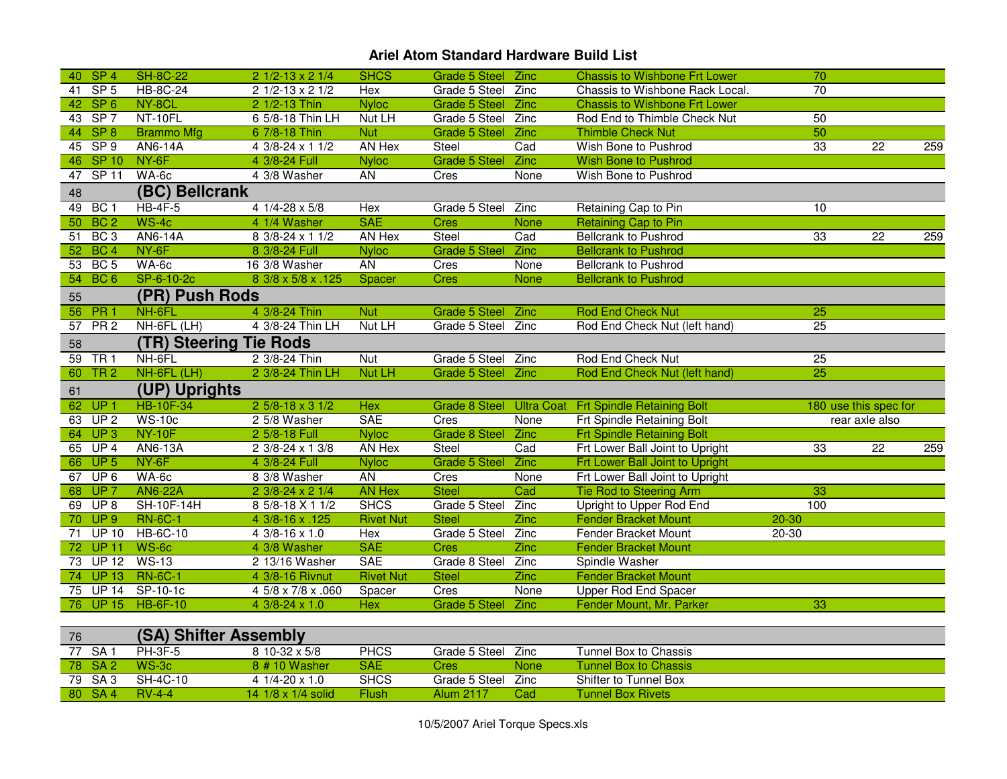| 40 SP 4              |                  | <b>SH-8C-22</b>               | $21/2-13 \times 21/4$                        | <b>SHCS</b>                 | Grade 5 Steel Zinc                |             | <b>Chassis to Wishbone Frt Lower</b>                            | 70              |                                         |     |
|----------------------|------------------|-------------------------------|----------------------------------------------|-----------------------------|-----------------------------------|-------------|-----------------------------------------------------------------|-----------------|-----------------------------------------|-----|
| 41                   | SP <sub>5</sub>  | <b>HB-8C-24</b>               | $21/2-13 \times 21/2$                        | Hex                         | Grade 5 Steel                     | Zinc        | Chassis to Wishbone Rack Local.                                 | $\overline{70}$ |                                         |     |
| 42 <sup>7</sup>      | SP <sub>6</sub>  | NY-8CL                        | 2 1/2-13 Thin                                | <b>Nyloc</b>                | <b>Grade 5 Steel</b>              | <b>Zinc</b> | <b>Chassis to Wishbone Frt Lower</b>                            |                 |                                         |     |
| 43 SP 7              |                  | NT-10FL                       | 6 5/8-18 Thin LH                             | Nut LH                      | Grade 5 Steel Zinc                |             | Rod End to Thimble Check Nut                                    | 50              |                                         |     |
| 44 SP 8              |                  | <b>Brammo Mfg</b>             | 6 7/8-18 Thin                                | <b>Nut</b>                  | <b>Grade 5 Steel</b>              | <b>Zinc</b> | <b>Thimble Check Nut</b>                                        | 50              |                                         |     |
| 45 SP 9              |                  | AN6-14A                       | $43/8 - 24 \times 11/2$                      | AN Hex                      | Steel                             | Cad         | Wish Bone to Pushrod                                            | 33              | $\overline{22}$                         | 259 |
| 46 SP 10             |                  | $NY-6F$                       | 4 3/8-24 Full                                | <b>Nyloc</b>                | Grade 5 Steel Zinc                |             | <b>Wish Bone to Pushrod</b>                                     |                 |                                         |     |
| 47                   | SP <sub>11</sub> | $WA-6c$                       | 4 3/8 Washer                                 | <b>AN</b>                   | Cres                              | None        | Wish Bone to Pushrod                                            |                 |                                         |     |
| 48                   |                  | (BC) Bellcrank                |                                              |                             |                                   |             |                                                                 |                 |                                         |     |
| 49 BC 1              |                  | $HB-4F-5$                     | $41/4 - 28 \times 5/8$                       | Hex                         | Grade 5 Steel                     | Zinc        | Retaining Cap to Pin                                            | 10              |                                         |     |
| 50 BC 2              |                  | $WS-4c$                       | 4 1/4 Washer                                 | <b>SAE</b>                  | <b>Cres</b>                       | <b>None</b> | <b>Retaining Cap to Pin</b>                                     |                 |                                         |     |
| 51                   | BC <sub>3</sub>  | AN6-14A                       | 8 3/8-24 x 1 1/2                             | AN Hex                      | Steel                             | Cad         | <b>Bellcrank to Pushrod</b>                                     | 33              | 22                                      | 259 |
| 52                   | BC <sub>4</sub>  | NY-6F                         | 8 3/8-24 Full                                | <b>Nyloc</b>                | <b>Grade 5 Steel</b>              | <b>Zinc</b> | <b>Bellcrank to Pushrod</b>                                     |                 |                                         |     |
| 53                   | BC <sub>5</sub>  | WA-6c                         | 16 3/8 Washer                                | AN                          | Cres                              | None        | <b>Bellcrank to Pushrod</b>                                     |                 |                                         |     |
| 54                   | BC <sub>6</sub>  | SP-6-10-2c                    | 8 3/8 x 5/8 x .125                           | Spacer                      | <b>Cres</b>                       | <b>None</b> | <b>Bellcrank to Pushrod</b>                                     |                 |                                         |     |
| 55                   |                  | (PR) Push Rods                |                                              |                             |                                   |             |                                                                 |                 |                                         |     |
| 56 PR 1              |                  | NH-6FL                        | 4 3/8-24 Thin                                | <b>Nut</b>                  | <b>Grade 5 Steel</b>              | Zinc        | <b>Rod End Check Nut</b>                                        | 25              |                                         |     |
| 57                   | PR <sub>2</sub>  | NH-6FL (LH)                   | 4 3/8-24 Thin LH                             | Nut LH                      | Grade 5 Steel Zinc                |             | Rod End Check Nut (left hand)                                   | 25              |                                         |     |
| 58                   |                  | <b>(TR) Steering Tie Rods</b> |                                              |                             |                                   |             |                                                                 |                 |                                         |     |
| 59                   | TR <sub>1</sub>  | NH-6FL                        | 2 3/8-24 Thin                                | Nut                         | Grade 5 Steel Zinc                |             | Rod End Check Nut                                               | 25              |                                         |     |
| 60                   | TR <sub>2</sub>  | NH-6FL (LH)                   | 2 3/8-24 Thin LH                             | Nut LH                      | Grade 5 Steel Zinc                |             | Rod End Check Nut (left hand)                                   | 25              |                                         |     |
|                      |                  | (UP) Uprights                 |                                              |                             |                                   |             |                                                                 |                 |                                         |     |
| 61                   |                  |                               |                                              |                             |                                   |             |                                                                 |                 |                                         |     |
| 62 UP 1              |                  |                               |                                              | Hex                         |                                   |             |                                                                 |                 |                                         |     |
| 63 UP 2              |                  | <b>HB-10F-34</b><br>$WS-10c$  | 2 5/8-18 x 3 1/2<br>2 5/8 Washer             | <b>SAE</b>                  | Cres                              | None        | Grade 8 Steel Ultra Coat Frt Spindle Retaining Bolt             |                 | 180 use this spec for<br>rear axle also |     |
| 64                   | UP3              | <b>NY-10F</b>                 |                                              | <b>Nyloc</b>                | Grade 8 Steel                     | <b>Zinc</b> | Frt Spindle Retaining Bolt<br><b>Frt Spindle Retaining Bolt</b> |                 |                                         |     |
| 65 UP 4              |                  | AN6-13A                       | 2 5/8-18 Full<br>2 3/8-24 x 1 3/8            | AN Hex                      | Steel                             | Cad         | Frt Lower Ball Joint to Upright                                 | 33              | $\overline{22}$                         | 259 |
| 66 UP 5              |                  | NY-6F                         | 4 3/8-24 Full                                | <b>Nyloc</b>                | Grade 5 Steel Zinc                |             | Frt Lower Ball Joint to Upright                                 |                 |                                         |     |
| 67                   | UP6              | WA-6c                         | 8 3/8 Washer                                 | <b>AN</b>                   | Cres                              | None        | Frt Lower Ball Joint to Upright                                 |                 |                                         |     |
| 68 UP 7              |                  | <b>AN6-22A</b>                | 2 3/8-24 x 2 1/4                             | <b>AN Hex</b>               | <b>Steel</b>                      | Cad         | <b>Tie Rod to Steering Arm</b>                                  | 33              |                                         |     |
| 69                   | UP8              | <b>SH-10F-14H</b>             | 8 5/8-18 X 1 1/2                             | <b>SHCS</b>                 | Grade 5 Steel                     | Zinc        | Upright to Upper Rod End                                        | 100             |                                         |     |
| 70                   | UP9              | <b>RN-6C-1</b>                | 4 3/8-16 x .125                              | <b>Rivet Nut</b>            | <b>Steel</b>                      | Zinc        | Fender Bracket Mount                                            | $20 - 30$       |                                         |     |
| 71                   | <b>UP 10</b>     | HB-6C-10                      | $43/8 - 16 \times 1.0$                       | Hex                         | Grade 5 Steel Zinc                |             | Fender Bracket Mount                                            | $20 - 30$       |                                         |     |
| 72                   | <b>UP 11</b>     | $WS-6c$                       | 4 3/8 Washer                                 | <b>SAE</b>                  | <b>Cres</b>                       | Zinc        | <b>Fender Bracket Mount</b>                                     |                 |                                         |     |
| 73                   | UP <sub>12</sub> | $WS-13$                       | 2 13/16 Washer                               | <b>SAE</b>                  | Grade 8 Steel                     | Zinc        | Spindle Washer                                                  |                 |                                         |     |
| 74                   | <b>UP 13</b>     | <b>RN-6C-1</b>                | 4 3/8-16 Rivnut                              | <b>Rivet Nut</b>            | <b>Steel</b>                      | Zinc        | <b>Fender Bracket Mount</b>                                     |                 |                                         |     |
|                      |                  | 75 UP 14 SP-10-1c             | 4 5/8 x 7/8 x .060                           | Spacer                      | Cres                              | None        | Upper Rod End Spacer                                            |                 |                                         |     |
|                      |                  | 76 UP 15 HB-6F-10             | 4 3/8-24 x 1.0                               | Hex                         | <b>Grade 5 Steel</b>              | <b>Zinc</b> | Fender Mount, Mr. Parker                                        | 33              |                                         |     |
|                      |                  |                               |                                              |                             |                                   |             |                                                                 |                 |                                         |     |
| 76                   |                  | (SA) Shifter Assembly         |                                              |                             |                                   |             |                                                                 |                 |                                         |     |
| 77 SA 1              |                  | $PH-3F-5$                     | 8 10-32 x 5/8                                | <b>PHCS</b>                 | Grade 5 Steel                     | Zinc        | Tunnel Box to Chassis                                           |                 |                                         |     |
| 78                   | SA <sub>2</sub>  | WS-3c                         | 8 # 10 Washer                                | <b>SAE</b>                  | <b>Cres</b>                       | <b>None</b> | <b>Tunnel Box to Chassis</b>                                    |                 |                                         |     |
| SA3<br>79<br>80 SA 4 |                  | <b>SH-4C-10</b><br>$RV-4-4$   | $41/4 - 20 \times 1.0$<br>14 1/8 x 1/4 solid | <b>SHCS</b><br><b>Flush</b> | Grade 5 Steel<br><b>Alum 2117</b> | Zinc<br>Cad | Shifter to Tunnel Box<br><b>Tunnel Box Rivets</b>               |                 |                                         |     |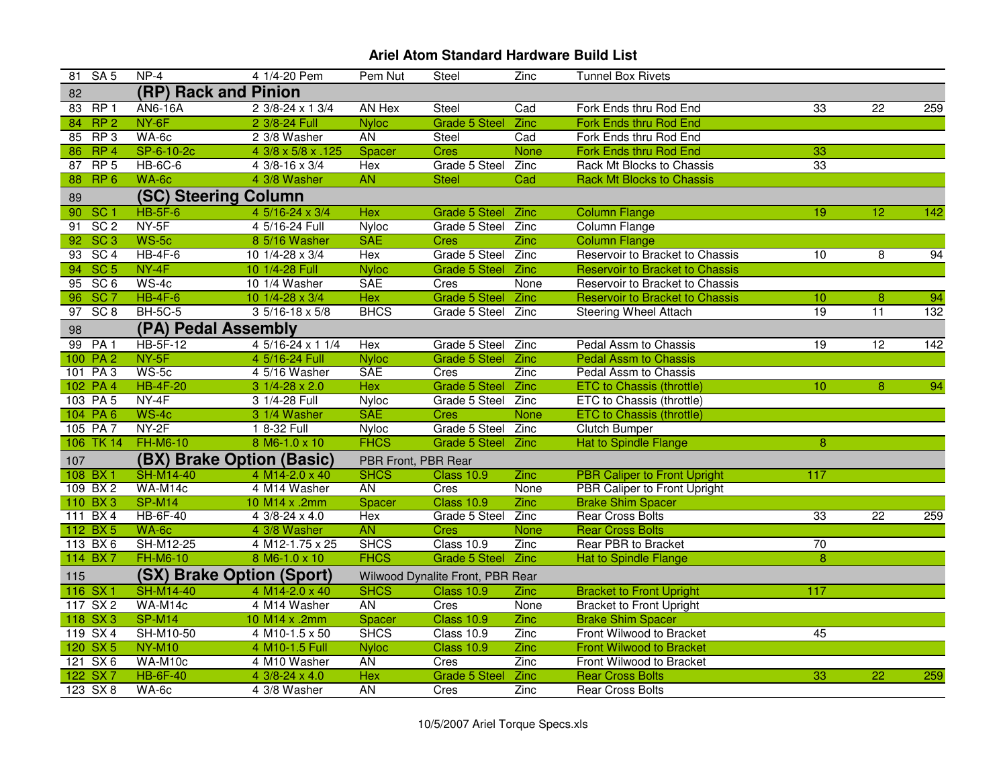| 81 SA 5                            | $NP-4$               | 4 1/4-20 Pem              | Pem Nut             | Steel                            | Zinc        | <b>Tunnel Box Rivets</b>               |                 |                 |     |
|------------------------------------|----------------------|---------------------------|---------------------|----------------------------------|-------------|----------------------------------------|-----------------|-----------------|-----|
| 82                                 | (RP) Rack and Pinion |                           |                     |                                  |             |                                        |                 |                 |     |
| 83 RP 1                            | <b>AN6-16A</b>       | 2 3/8-24 x 1 3/4          | AN Hex              | Steel                            | Cad         | Fork Ends thru Rod End                 | 33              | $\overline{22}$ | 259 |
| RP <sub>2</sub><br>84              | NY-6F                | 2 3/8-24 Full             | <b>Nyloc</b>        | <b>Grade 5 Steel</b>             | <b>Zinc</b> | Fork Ends thru Rod End                 |                 |                 |     |
| 85 RP 3                            | WA-6c                | 2 3/8 Washer              | <b>AN</b>           | Steel                            | Cad         | Fork Ends thru Rod End                 |                 |                 |     |
| RP <sub>4</sub><br>86              | SP-6-10-2c           | 4 3/8 x 5/8 x .125        | Spacer              | <b>Cres</b>                      | <b>None</b> | Fork Ends thru Rod End                 | 33              |                 |     |
| RP <sub>5</sub><br>87              | <b>HB-6C-6</b>       | 4 3/8-16 x 3/4            | Hex                 | Grade 5 Steel                    | Zinc        | Rack Mt Blocks to Chassis              | 33              |                 |     |
| RP <sub>6</sub><br>88              | WA-6c                | 4 3/8 Washer              | <b>AN</b>           | <b>Steel</b>                     | Cad         | <b>Rack Mt Blocks to Chassis</b>       |                 |                 |     |
| 89                                 | (SC) Steering Column |                           |                     |                                  |             |                                        |                 |                 |     |
| 90<br>SC <sub>1</sub>              | $HB-5F-6$            | 4 5/16-24 x 3/4           | <b>Hex</b>          | <b>Grade 5 Steel</b>             | Zinc        | <b>Column Flange</b>                   | 19              | $\overline{12}$ | 142 |
| SC <sub>2</sub><br>91              | NY-5F                | 4 5/16-24 Full            | Nyloc               | Grade 5 Steel                    | Zinc        | Column Flange                          |                 |                 |     |
| 92 SC 3                            | $WS-5c$              | 8 5/16 Washer             | <b>SAE</b>          | <b>Cres</b>                      | <b>Zinc</b> | <b>Column Flange</b>                   |                 |                 |     |
| SC <sub>4</sub><br>$\overline{93}$ | $HB-4F-6$            | 10 1/4-28 x 3/4           | Hex                 | Grade 5 Steel                    | Zinc        | Reservoir to Bracket to Chassis        | 10              | 8               | 94  |
| 94 SC 5                            | $NY-4F$              | 10 1/4-28 Full            | <b>Nyloc</b>        | <b>Grade 5 Steel</b>             | <b>Zinc</b> | Reservoir to Bracket to Chassis        |                 |                 |     |
| 95 SC 6                            | $WS-4c$              | 10 1/4 Washer             | <b>SAE</b>          | Cres                             | None        | Reservoir to Bracket to Chassis        |                 |                 |     |
| SC <sub>7</sub><br>96              | $HB-4F-6$            | 10 1/4-28 x 3/4           | <b>Hex</b>          | <b>Grade 5 Steel</b>             | Zinc        | <b>Reservoir to Bracket to Chassis</b> | 10              | 8               | 94  |
| SC 8<br>97                         | <b>BH-5C-5</b>       | $3\frac{5}{16}$ -18 x 5/8 | <b>BHCS</b>         | Grade 5 Steel                    | Zinc        | <b>Steering Wheel Attach</b>           | 19              | $\overline{11}$ | 132 |
| 98                                 | (PA) Pedal Assembly  |                           |                     |                                  |             |                                        |                 |                 |     |
| 99 PA 1                            | <b>HB-5F-12</b>      | 4 5/16-24 x 1 1/4         | Hex                 | Grade 5 Steel                    | Zinc        | Pedal Assm to Chassis                  | 19              | $\overline{12}$ | 142 |
| 100 PA 2                           | NY-5F                | 4 5/16-24 Full            | <b>Nyloc</b>        | <b>Grade 5 Steel</b>             | Zinc        | <b>Pedal Assm to Chassis</b>           |                 |                 |     |
| 101 PA 3                           | WS-5c                | 4 5/16 Washer             | <b>SAE</b>          | Cres                             | <b>Zinc</b> | Pedal Assm to Chassis                  |                 |                 |     |
| 102 PA 4                           | <b>HB-4F-20</b>      | $31/4-28 \times 2.0$      | <b>Hex</b>          | <b>Grade 5 Steel</b>             | <b>Zinc</b> | <b>ETC to Chassis (throttle)</b>       | 10              | 8               | 94  |
| 103 PA 5                           | $NY-4F$              | 3 1/4-28 Full             | Nyloc               | Grade 5 Steel                    | Zinc        | ETC to Chassis (throttle)              |                 |                 |     |
| 104 PA 6                           | $WS-4c$              | 3 1/4 Washer              | <b>SAE</b>          | <b>Cres</b>                      | <b>None</b> | <b>ETC to Chassis (throttle)</b>       |                 |                 |     |
| 105 PA 7                           | NY-2F                | 1 8-32 Full               | <b>Nyloc</b>        | Grade 5 Steel                    | Zinc        | <b>Clutch Bumper</b>                   |                 |                 |     |
| 106 TK 14                          | <b>FH-M6-10</b>      | 8 M6-1.0 x 10             | <b>FHCS</b>         | <b>Grade 5 Steel</b>             | <b>Zinc</b> | <b>Hat to Spindle Flange</b>           | 8               |                 |     |
| 107                                |                      | (BX) Brake Option (Basic) | PBR Front, PBR Rear |                                  |             |                                        |                 |                 |     |
| 108 BX 1                           | <b>SH-M14-40</b>     | 4 M14-2.0 x 40            | <b>SHCS</b>         | <b>Class 10.9</b>                | Zinc        | <b>PBR Caliper to Front Upright</b>    | 117             |                 |     |
| 109 BX 2                           | WA-M14c              | 4 M14 Washer              | <b>AN</b>           | Cres                             | None        | PBR Caliper to Front Upright           |                 |                 |     |
| 110 BX 3                           | <b>SP-M14</b>        | 10 M14 x .2mm             | Spacer              | <b>Class 10.9</b>                | Zinc        | <b>Brake Shim Spacer</b>               |                 |                 |     |
| 111 BX 4                           | <b>HB-6F-40</b>      | $43/8 - 24 \times 4.0$    | Hex                 | Grade 5 Steel                    | Zinc        | <b>Rear Cross Bolts</b>                | 33              | $\overline{22}$ | 259 |
| 112 BX 5                           | WA-6c                | 4 3/8 Washer              | <b>AN</b>           | <b>Cres</b>                      | <b>None</b> | <b>Rear Cross Bolts</b>                |                 |                 |     |
| 113 BX 6                           | SH-M12-25            | 4 M12-1.75 x 25           | <b>SHCS</b>         | Class 10.9                       | Zinc        | <b>Rear PBR to Bracket</b>             | $\overline{70}$ |                 |     |
| 114 BX7                            | <b>FH-M6-10</b>      | 8 M6-1.0 x 10             | <b>FHCS</b>         | Grade 5 Steel Zinc               |             | <b>Hat to Spindle Flange</b>           | $\overline{8}$  |                 |     |
| 115                                |                      | (SX) Brake Option (Sport) |                     | Wilwood Dynalite Front, PBR Rear |             |                                        |                 |                 |     |
| 116 SX 1                           | <b>SH-M14-40</b>     | 4 M14-2.0 x 40            | <b>SHCS</b>         | <b>Class 10.9</b>                | Zinc        | <b>Bracket to Front Upright</b>        | 117             |                 |     |
| 117 SX 2                           | WA-M14c              | 4 M14 Washer              | <b>AN</b>           | Cres                             | None        | <b>Bracket to Front Upright</b>        |                 |                 |     |
| 118 SX 3                           | <b>SP-M14</b>        | 10 M14 x .2mm             | Spacer              | <b>Class 10.9</b>                | Zinc        | <b>Brake Shim Spacer</b>               |                 |                 |     |
| 119 SX 4                           | SH-M10-50            | 4 M10-1.5 x 50            | <b>SHCS</b>         | Class 10.9                       | Zinc        | Front Wilwood to Bracket               | 45              |                 |     |
| 120 SX 5                           | <b>NY-M10</b>        | 4 M10-1.5 Full            | <b>Nyloc</b>        | <b>Class 10.9</b>                | Zinc        | <b>Front Wilwood to Bracket</b>        |                 |                 |     |
| 121 SX 6                           | WA-M10c              | 4 M10 Washer              | <b>AN</b>           | Cres                             | Zinc        | Front Wilwood to Bracket               |                 |                 |     |
| 122 SX7                            | <b>HB-6F-40</b>      | 4 3/8-24 x 4.0            | Hex                 | <b>Grade 5 Steel</b>             | Zinc        | <b>Rear Cross Bolts</b>                | 33              | $\overline{22}$ | 259 |
| 123 SX 8                           | WA-6c                | 4 3/8 Washer              | <b>AN</b>           | Cres                             | Zinc        | <b>Rear Cross Bolts</b>                |                 |                 |     |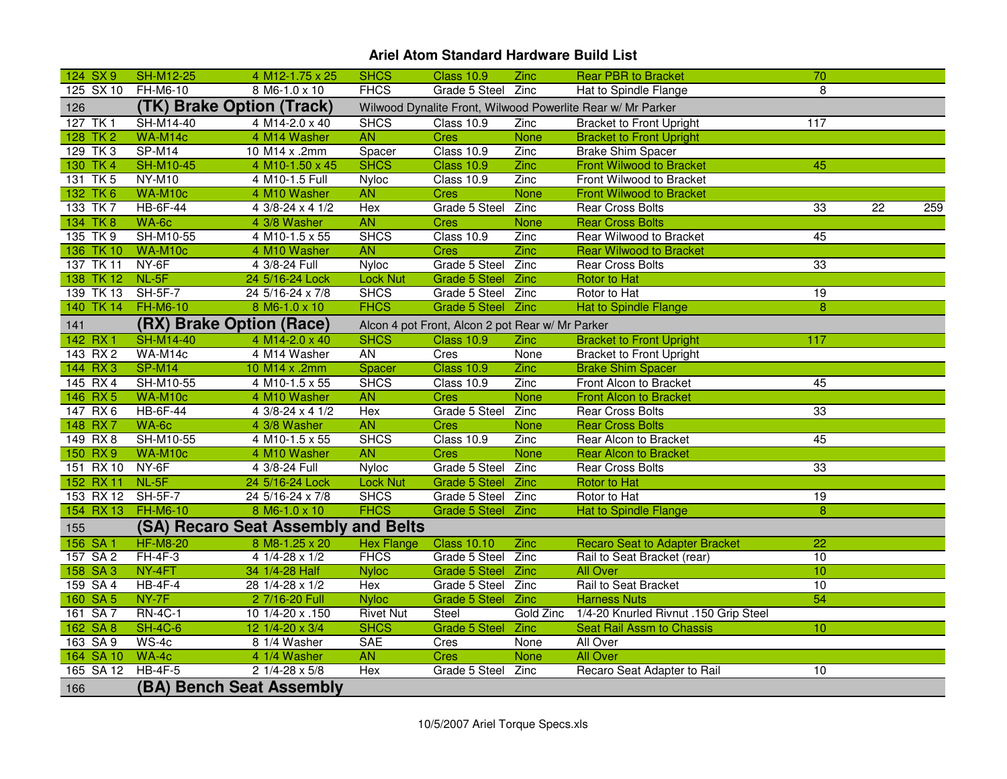| 124 SX 9           | <b>SH-M12-25</b> | 4 M12-1.75 x 25                     | <b>SHCS</b>      | <b>Class 10.9</b>                                | Zinc        | <b>Rear PBR to Bracket</b>                                  | 70              |                 |     |
|--------------------|------------------|-------------------------------------|------------------|--------------------------------------------------|-------------|-------------------------------------------------------------|-----------------|-----------------|-----|
| 125 SX 10          | FH-M6-10         | 8 M6-1.0 x 10                       | <b>FHCS</b>      | Grade 5 Steel Zinc                               |             | Hat to Spindle Flange                                       | 8               |                 |     |
| 126                |                  | (TK) Brake Option (Track)           |                  |                                                  |             | Wilwood Dynalite Front, Wilwood Powerlite Rear w/ Mr Parker |                 |                 |     |
| 127 TK 1           | SH-M14-40        | 4 M14-2.0 x 40                      | <b>SHCS</b>      | Class 10.9                                       | Zinc        | <b>Bracket to Front Upright</b>                             | 117             |                 |     |
| 128 TK 2           | WA-M14c          | 4 M14 Washer                        | <b>AN</b>        | <b>Cres</b>                                      | None        | <b>Bracket to Front Upright</b>                             |                 |                 |     |
| 129 TK 3           | SP-M14           | 10 M14 x .2mm                       | Spacer           | Class 10.9                                       | Zinc        | <b>Brake Shim Spacer</b>                                    |                 |                 |     |
| 130 TK 4           | <b>SH-M10-45</b> | 4 M10-1.50 x 45                     | <b>SHCS</b>      | <b>Class 10.9</b>                                | Zinc        | <b>Front Wilwood to Bracket</b>                             | 45              |                 |     |
| 131 TK 5           | <b>NY-M10</b>    | 4 M10-1.5 Full                      | <b>Nyloc</b>     | Class 10.9                                       | Zinc        | Front Wilwood to Bracket                                    |                 |                 |     |
| 132 TK 6           | WA-M10c          | 4 M10 Washer                        | <b>AN</b>        | <b>Cres</b>                                      | <b>None</b> | <b>Front Wilwood to Bracket</b>                             |                 |                 |     |
| 133 TK 7           | <b>HB-6F-44</b>  | 4 3/8-24 x 4 1/2                    | Hex              | Grade 5 Steel Zinc                               |             | <b>Rear Cross Bolts</b>                                     | 33              | $\overline{22}$ | 259 |
| 134 TK 8           | WA-6c            | 4 3/8 Washer                        | <b>AN</b>        | <b>Cres</b>                                      | None        | <b>Rear Cross Bolts</b>                                     |                 |                 |     |
| 135 TK 9           | SH-M10-55        | 4 M10-1.5 x 55                      | <b>SHCS</b>      | Class 10.9                                       | Zinc        | Rear Wilwood to Bracket                                     | 45              |                 |     |
| 136 TK 10          | WA-M10c          | 4 M10 Washer                        | <b>AN</b>        | Cres                                             | Zinc        | <b>Rear Wilwood to Bracket</b>                              |                 |                 |     |
| 137 TK 11          | NY-6F            | 4 3/8-24 Full                       | <b>Nyloc</b>     | Grade 5 Steel Zinc                               |             | <b>Rear Cross Bolts</b>                                     | 33              |                 |     |
| 138 TK 12          | $NL-5F$          | 24 5/16-24 Lock                     | <b>Lock Nut</b>  | Grade 5 Steel Zinc                               |             | Rotor to Hat                                                |                 |                 |     |
| 139 TK 13          | <b>SH-5F-7</b>   | 24 5/16-24 x 7/8                    | <b>SHCS</b>      | Grade 5 Steel Zinc                               |             | Rotor to Hat                                                | 19              |                 |     |
| 140 TK 14          | <b>FH-M6-10</b>  | 8 M6-1.0 x 10                       | <b>FHCS</b>      | Grade 5 Steel Zinc                               |             | <b>Hat to Spindle Flange</b>                                | 8               |                 |     |
| 141                |                  | (RX) Brake Option (Race)            |                  | Alcon 4 pot Front, Alcon 2 pot Rear w/ Mr Parker |             |                                                             |                 |                 |     |
| 142 RX1            | <b>SH-M14-40</b> | 4 M14-2.0 x 40                      | <b>SHCS</b>      | <b>Class 10.9</b>                                | Zinc        | <b>Bracket to Front Upright</b>                             | 117             |                 |     |
| 143 RX 2           | WA-M14c          | 4 M14 Washer                        | <b>AN</b>        | Cres                                             | None        | <b>Bracket to Front Upright</b>                             |                 |                 |     |
| 144 RX 3           | <b>SP-M14</b>    | 10 M14 x .2mm                       | Spacer           | <b>Class 10.9</b>                                | Zinc        | <b>Brake Shim Spacer</b>                                    |                 |                 |     |
| 145 RX 4           | SH-M10-55        | 4 M10-1.5 x 55                      | <b>SHCS</b>      | Class 10.9                                       | Zinc        | Front Alcon to Bracket                                      | 45              |                 |     |
| 146 RX 5           | WA-M10c          | 4 M10 Washer                        | <b>AN</b>        | <b>Cres</b>                                      | <b>None</b> | <b>Front Alcon to Bracket</b>                               |                 |                 |     |
| 147 RX 6           | <b>HB-6F-44</b>  | 4 3/8-24 x 4 1/2                    | Hex              | Grade 5 Steel Zinc                               |             | <b>Rear Cross Bolts</b>                                     | 33              |                 |     |
| 148 RX 7           | WA-6c            | 4 3/8 Washer                        | <b>AN</b>        | <b>Cres</b>                                      | None        | <b>Rear Cross Bolts</b>                                     |                 |                 |     |
| 149 RX 8           | SH-M10-55        | 4 M10-1.5 x 55                      | <b>SHCS</b>      | <b>Class 10.9</b>                                | Zinc        | Rear Alcon to Bracket                                       | 45              |                 |     |
| 150 RX9            | WA-M10c          | 4 M10 Washer                        | <b>AN</b>        | <b>Cres</b>                                      | <b>None</b> | <b>Rear Alcon to Bracket</b>                                |                 |                 |     |
| 151 RX 10          | $NY-6F$          | 4 3/8-24 Full                       | <b>Nyloc</b>     | Grade 5 Steel Zinc                               |             | <b>Rear Cross Bolts</b>                                     | 33              |                 |     |
| 152 RX 11 NL-5F    |                  | 24 5/16-24 Lock                     | <b>Lock Nut</b>  | Grade 5 Steel Zinc                               |             | <b>Rotor to Hat</b>                                         |                 |                 |     |
| 153 RX 12          | <b>SH-5F-7</b>   | 24 5/16-24 x 7/8                    | <b>SHCS</b>      | Grade 5 Steel Zinc                               |             | Rotor to Hat                                                | 19              |                 |     |
| 154 RX 13 FH-M6-10 |                  | 8 M6-1.0 x 10                       | <b>FHCS</b>      | Grade 5 Steel Zinc                               |             | <b>Hat to Spindle Flange</b>                                | $\overline{8}$  |                 |     |
| 155                |                  | (SA) Recaro Seat Assembly and Belts |                  |                                                  |             |                                                             |                 |                 |     |
| 156 SA 1           | <b>HF-M8-20</b>  | 8 M8-1.25 x 20                      | Hex Flange       | <b>Class 10.10</b>                               | Zinc        | <b>Recaro Seat to Adapter Bracket</b>                       | $\overline{22}$ |                 |     |
| 157 SA 2           | $FH-4F-3$        | $41/4-28 \times 1/2$                | <b>FHCS</b>      | Grade 5 Steel Zinc                               |             | Rail to Seat Bracket (rear)                                 | 10              |                 |     |
| 158 SA 3           | NY-4FT           | 34 1/4-28 Half                      | <b>Nyloc</b>     | Grade 5 Steel Zinc                               |             | <b>All Over</b>                                             | 10              |                 |     |
| 159 SA 4           | $HB-4F-4$        | 28 1/4-28 x 1/2                     | Hex              | Grade 5 Steel Zinc                               |             | Rail to Seat Bracket                                        | 10              |                 |     |
| 160 SA 5           | NY-7F            | 2 7/16-20 Full                      | <b>Nyloc</b>     | Grade 5 Steel Zinc                               |             | <b>Harness Nuts</b>                                         | 54              |                 |     |
| 161 SA 7           | <b>RN-4C-1</b>   | 10 1/4-20 x .150                    | <b>Rivet Nut</b> | Steel                                            | Gold Zinc   | 1/4-20 Knurled Rivnut .150 Grip Steel                       |                 |                 |     |
| 162 SA 8           | <b>SH-4C-6</b>   | 12 1/4-20 x 3/4                     | <b>SHCS</b>      | Grade 5 Steel Zinc                               |             | <b>Seat Rail Assm to Chassis</b>                            | 10              |                 |     |
| 163 SA 9           | $WS-4c$          | 8 1/4 Washer                        | <b>SAE</b>       | Cres                                             | None        | All Over                                                    |                 |                 |     |
| 164 SA 10          | $WA-4c$          | 4 1/4 Washer                        | <b>AN</b>        | <b>Cres</b>                                      | None        | <b>All Over</b>                                             |                 |                 |     |
| 165 SA 12          | $HB-4F-5$        | $21/4 - 28 \times 5/8$              | Hex              | Grade 5 Steel                                    | Zinc        | Recaro Seat Adapter to Rail                                 | 10              |                 |     |
| 166                |                  | (BA) Bench Seat Assembly            |                  |                                                  |             |                                                             |                 |                 |     |